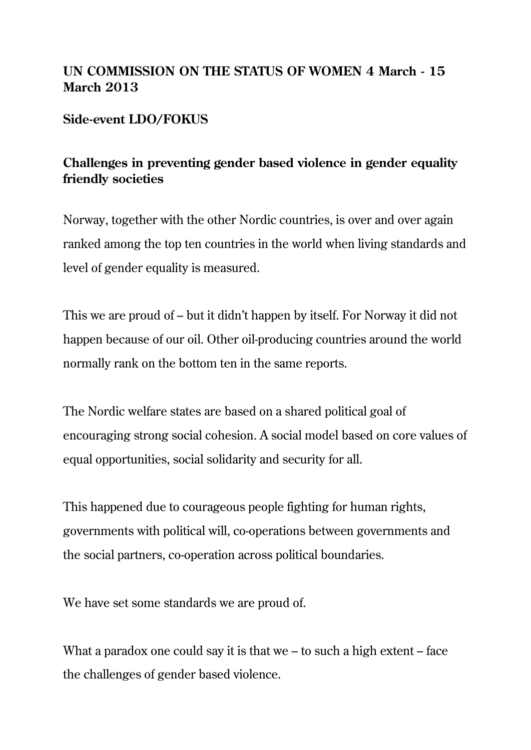## **UN COMMISSION ON THE STATUS OF WOMEN 4 March - 15 March 2013**

## **Side-event LDO/FOKUS**

## **Challenges in preventing gender based violence in gender equality friendly societies**

Norway, together with the other Nordic countries, is over and over again ranked among the top ten countries in the world when living standards and level of gender equality is measured.

This we are proud of – but it didn't happen by itself. For Norway it did not happen because of our oil. Other oil-producing countries around the world normally rank on the bottom ten in the same reports.

The Nordic welfare states are based on a shared political goal of encouraging strong social cohesion. A social model based on core values of equal opportunities, social solidarity and security for all.

This happened due to courageous people fighting for human rights, governments with political will, co-operations between governments and the social partners, co-operation across political boundaries.

We have set some standards we are proud of.

What a paradox one could say it is that we – to such a high extent – face the challenges of gender based violence.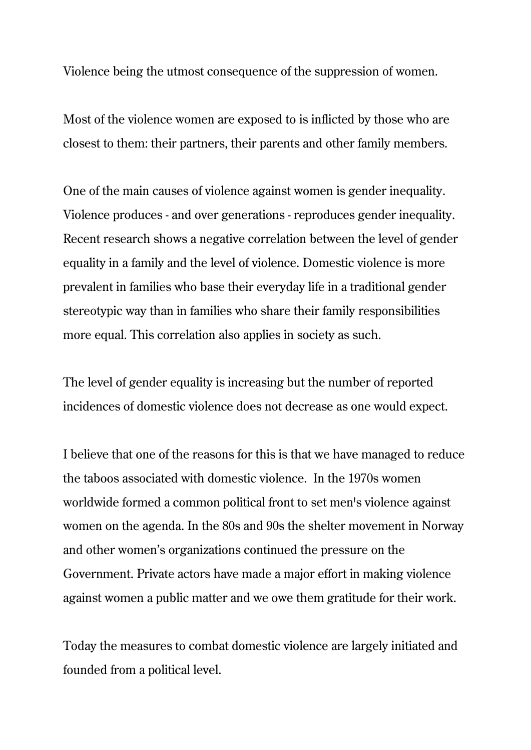Violence being the utmost consequence of the suppression of women.

Most of the violence women are exposed to is inflicted by those who are closest to them: their partners, their parents and other family members.

One of the main causes of violence against women is gender inequality. Violence produces - and over generations - reproduces gender inequality. Recent research shows a negative correlation between the level of gender equality in a family and the level of violence. Domestic violence is more prevalent in families who base their everyday life in a traditional gender stereotypic way than in families who share their family responsibilities more equal. This correlation also applies in society as such.

The level of gender equality is increasing but the number of reported incidences of domestic violence does not decrease as one would expect.

I believe that one of the reasons for this is that we have managed to reduce the taboos associated with domestic violence. In the 1970s women worldwide formed a common political front to set men's violence against women on the agenda. In the 80s and 90s the shelter movement in Norway and other women's organizations continued the pressure on the Government. Private actors have made a major effort in making violence against women a public matter and we owe them gratitude for their work.

Today the measures to combat domestic violence are largely initiated and founded from a political level.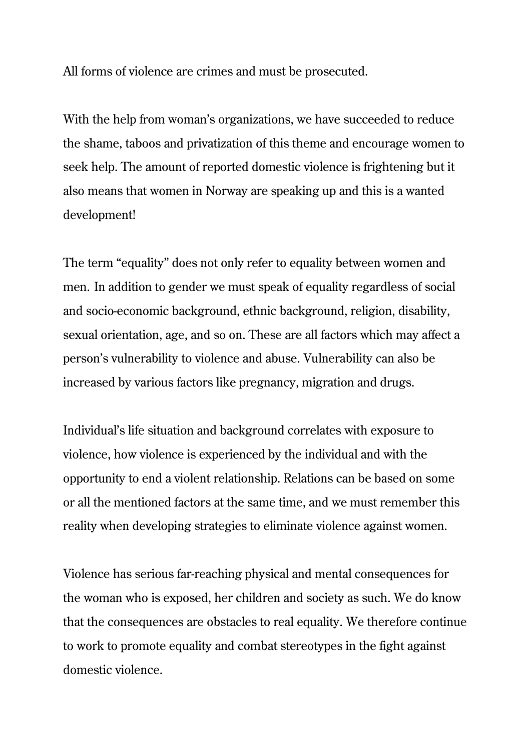All forms of violence are crimes and must be prosecuted.

With the help from woman's organizations, we have succeeded to reduce the shame, taboos and privatization of this theme and encourage women to seek help. The amount of reported domestic violence is frightening but it also means that women in Norway are speaking up and this is a wanted development!

The term "equality" does not only refer to equality between women and men. In addition to gender we must speak of equality regardless of social and socio-economic background, ethnic background, religion, disability, sexual orientation, age, and so on. These are all factors which may affect a person's vulnerability to violence and abuse. Vulnerability can also be increased by various factors like pregnancy, migration and drugs.

Individual's life situation and background correlates with exposure to violence, how violence is experienced by the individual and with the opportunity to end a violent relationship. Relations can be based on some or all the mentioned factors at the same time, and we must remember this reality when developing strategies to eliminate violence against women.

Violence has serious far-reaching physical and mental consequences for the woman who is exposed, her children and society as such. We do know that the consequences are obstacles to real equality. We therefore continue to work to promote equality and combat stereotypes in the fight against domestic violence.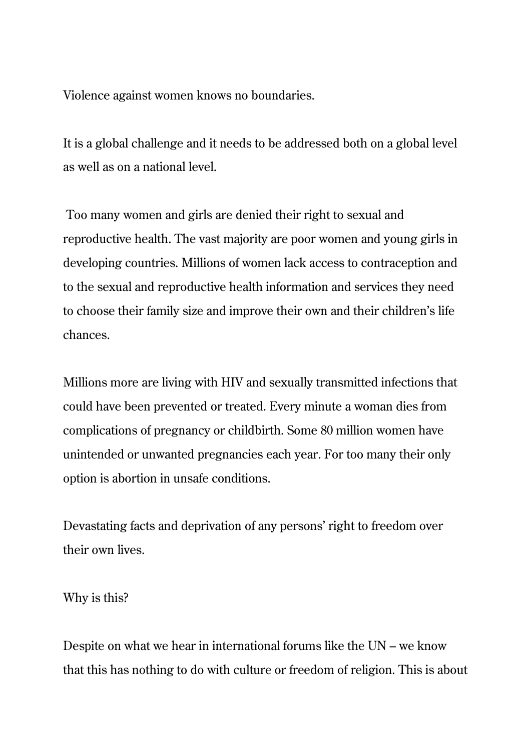Violence against women knows no boundaries.

It is a global challenge and it needs to be addressed both on a global level as well as on a national level.

Too many women and girls are denied their right to sexual and reproductive health. The vast majority are poor women and young girls in developing countries. Millions of women lack access to contraception and to the sexual and reproductive health information and services they need to choose their family size and improve their own and their children's life chances.

Millions more are living with HIV and sexually transmitted infections that could have been prevented or treated. Every minute a woman dies from complications of pregnancy or childbirth. Some 80 million women have unintended or unwanted pregnancies each year. For too many their only option is abortion in unsafe conditions.

Devastating facts and deprivation of any persons' right to freedom over their own lives.

Why is this?

Despite on what we hear in international forums like the UN – we know that this has nothing to do with culture or freedom of religion. This is about